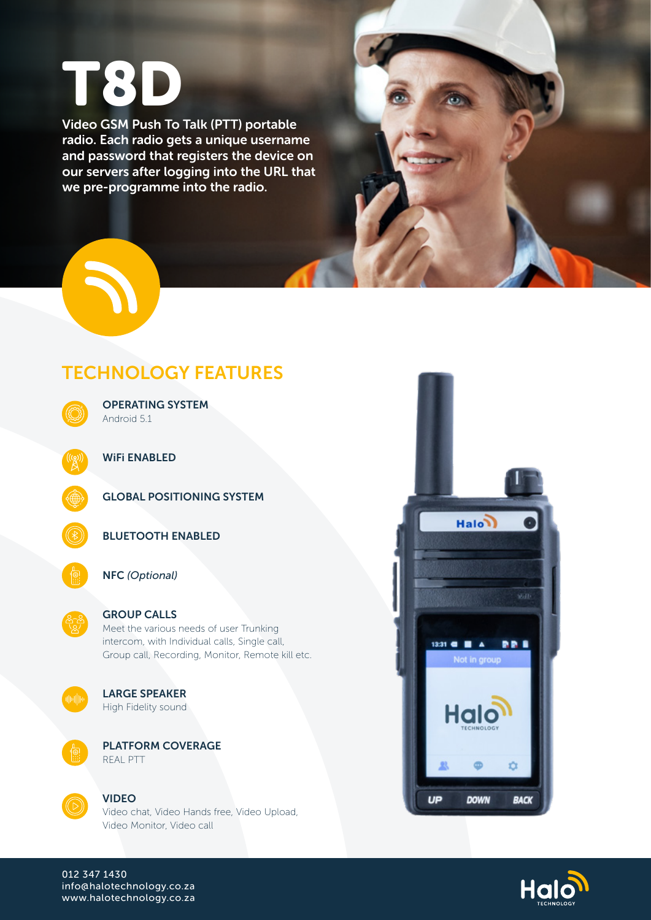# T8D

Video GSM Push To Talk (PTT) portable radio. Each radio gets a unique username and password that registers the device on our servers after logging into the URL that we pre-programme into the radio.



## TECHNOLOGY FEATURES



OPERATING SYSTEM Android 5.1

WiFi ENABLED

GLOBAL POSITIONING SYSTEM



BLUETOOTH ENABLED



#### NFC *(Optional)*

#### GROUP CALLS

Meet the various needs of user Trunking intercom, with Individual calls, Single call, Group call, Recording, Monitor, Remote kill etc.



### LARGE SPEAKER

High Fidelity sound



PLATFORM COVERAGE REAL PTT



#### VIDEO

Video chat, Video Hands free, Video Upload, Video Monitor, Video call





012 347 1430 info@halotechnology.co.za www.halotechnology.co.za